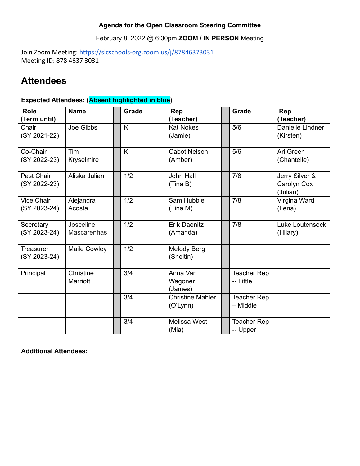### **Agenda for the Open Classroom Steering Committee**

February 8, 2022 @ 6:30pm **ZOOM / IN PERSON** Meeting

Join Zoom Meeting: <https://slcschools-org.zoom.us/j/87846373031> Meeting ID: 878 4637 3031

# **Attendees**

## **Expected Attendees: (Absent highlighted in blue)**

| <b>Role</b><br>(Term until)       | <b>Name</b>                     | <b>Grade</b> | Rep<br>(Teacher)                    | <b>Grade</b>                   | Rep<br>(Teacher)                          |
|-----------------------------------|---------------------------------|--------------|-------------------------------------|--------------------------------|-------------------------------------------|
| Chair<br>(SY 2021-22)             | Joe Gibbs                       | K            | <b>Kat Nokes</b><br>(Jamie)         | 5/6                            | Danielle Lindner<br>(Kirsten)             |
| Co-Chair<br>(SY 2022-23)          | Tim<br>Kryselmire               | K            | <b>Cabot Nelson</b><br>(Amber)      | 5/6                            | Ari Green<br>(Chantelle)                  |
| Past Chair<br>(SY 2022-23)        | Aliska Julian                   | 1/2          | John Hall<br>(Tina B)               | 7/8                            | Jerry Silver &<br>Carolyn Cox<br>(Julian) |
| <b>Vice Chair</b><br>(SY 2023-24) | Alejandra<br>Acosta             | 1/2          | Sam Hubble<br>(Tina M)              | 7/8                            | Virgina Ward<br>(Lena)                    |
| Secretary<br>(SY 2023-24)         | Josceline<br><b>Mascarenhas</b> | 1/2          | <b>Erik Daenitz</b><br>(Amanda)     | 7/8                            | Luke Loutensock<br>(Hilary)               |
| <b>Treasurer</b><br>(SY 2023-24)  | Maile Cowley                    | 1/2          | Melody Berg<br>(Sheltin)            |                                |                                           |
| Principal                         | Christine<br>Marriott           | 3/4          | Anna Van<br>Wagoner<br>(James)      | Teacher Rep<br>-- Little       |                                           |
|                                   |                                 | 3/4          | <b>Christine Mahler</b><br>(O'Lynn) | <b>Teacher Rep</b><br>- Middle |                                           |
|                                   |                                 | 3/4          | Melissa West<br>(Mia)               | Teacher Rep<br>-- Upper        |                                           |

**Additional Attendees:**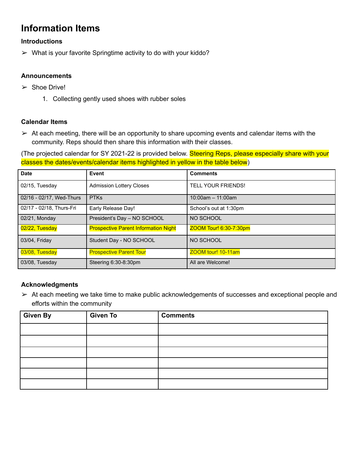## **Information Items**

### **Introductions**

 $\triangleright$  What is your favorite Springtime activity to do with your kiddo?

#### **Announcements**

- $\triangleright$  Shoe Drive!
	- 1. Collecting gently used shoes with rubber soles

#### **Calendar Items**

 $\triangleright$  At each meeting, there will be an opportunity to share upcoming events and calendar items with the community. Reps should then share this information with their classes.

(The projected calendar for SY 2021-22 is provided below. Steering Reps, please especially share with your classes the dates/events/calendar items highlighted in yellow in the table below)

| <b>Date</b>              | Event                                       | <b>Comments</b>           |
|--------------------------|---------------------------------------------|---------------------------|
| 02/15, Tuesday           | <b>Admission Lottery Closes</b>             | <b>TELL YOUR FRIENDS!</b> |
| 02/16 - 02/17, Wed-Thurs | <b>PTKs</b>                                 | $10:00$ am $-11:00$ am    |
| 02/17 - 02/18, Thurs-Fri | Early Release Day!                          | School's out at 1:30pm    |
| 02/21, Monday            | President's Day - NO SCHOOL                 | NO SCHOOL                 |
| 02/22, Tuesday           | <b>Prospective Parent Information Night</b> | ZOOM Tour! 6:30-7:30pm    |
| 03/04, Friday            | Student Day - NO SCHOOL                     | NO SCHOOL                 |
| 03/08, Tuesday           | <b>Prospective Parent Tour</b>              | ZOOM tour! 10-11am        |
| 03/08, Tuesday           | Steering 6:30-8:30pm                        | All are Welcome!          |

#### **Acknowledgments**

 $\triangleright$  At each meeting we take time to make public acknowledgements of successes and exceptional people and efforts within the community

| Given By | <b>Given To</b> | <b>Comments</b> |
|----------|-----------------|-----------------|
|          |                 |                 |
|          |                 |                 |
|          |                 |                 |
|          |                 |                 |
|          |                 |                 |
|          |                 |                 |